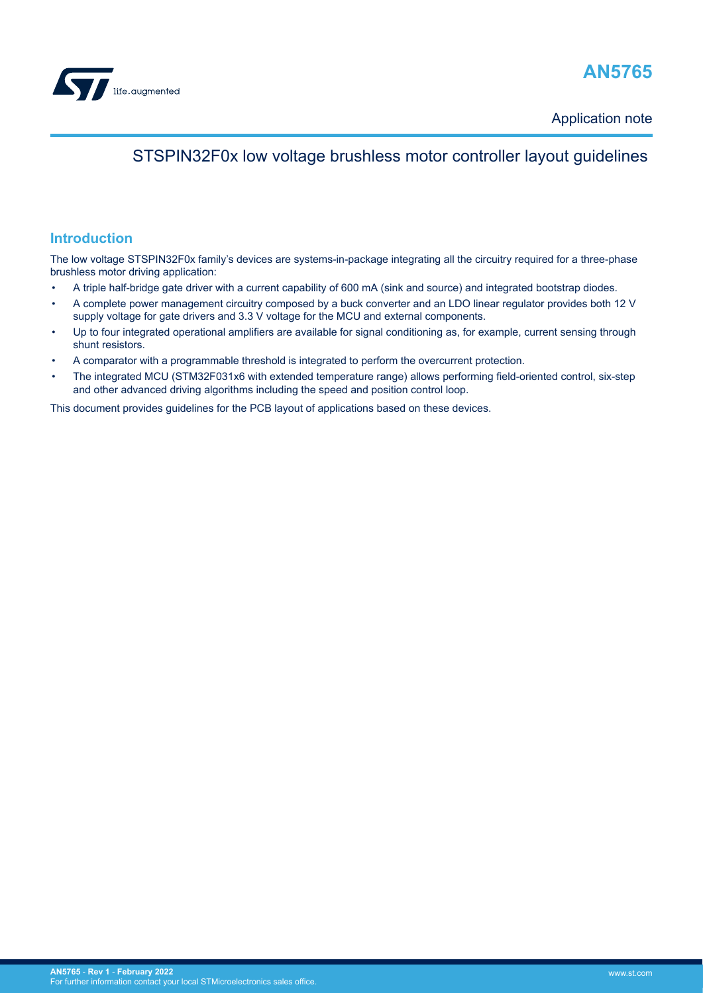

# **AN5765**

Application note

# STSPIN32F0x low voltage brushless motor controller layout guidelines

## **Introduction**

The low voltage STSPIN32F0x family's devices are systems-in-package integrating all the circuitry required for a three-phase brushless motor driving application:

- A triple half-bridge gate driver with a current capability of 600 mA (sink and source) and integrated bootstrap diodes.
- A complete power management circuitry composed by a buck converter and an LDO linear regulator provides both 12 V supply voltage for gate drivers and 3.3 V voltage for the MCU and external components.
- Up to four integrated operational amplifiers are available for signal conditioning as, for example, current sensing through shunt resistors.
- A comparator with a programmable threshold is integrated to perform the overcurrent protection.
- The integrated MCU (STM32F031x6 with extended temperature range) allows performing field-oriented control, six-step and other advanced driving algorithms including the speed and position control loop.

This document provides guidelines for the PCB layout of applications based on these devices.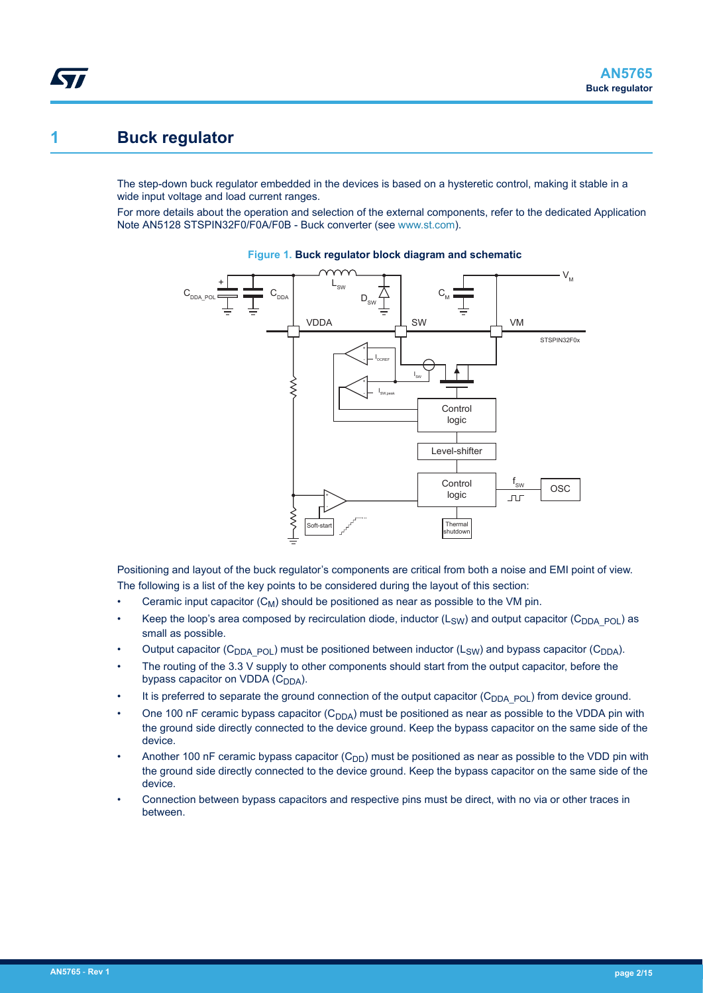# <span id="page-1-0"></span>**1 Buck regulator**

The step-down buck regulator embedded in the devices is based on a hysteretic control, making it stable in a wide input voltage and load current ranges.

For more details about the operation and selection of the external components, refer to the dedicated Application Note AN5128 STSPIN32F0/F0A/F0B - Buck converter (see [www.st.com](http://www.st.com)).





Positioning and layout of the buck regulator's components are critical from both a noise and EMI point of view. The following is a list of the key points to be considered during the layout of this section:

- Ceramic input capacitor  $(C_M)$  should be positioned as near as possible to the VM pin.
- Keep the loop's area composed by recirculation diode, inductor  $(L_{SW})$  and output capacitor (C<sub>DDA\_POL</sub>) as small as possible.
- Output capacitor (C<sub>DDA\_POL</sub>) must be positioned between inductor (L<sub>SW</sub>) and bypass capacitor (C<sub>DDA</sub>).
- The routing of the 3.3 V supply to other components should start from the output capacitor, before the bypass capacitor on VDDA  $(C_{DDA})$ .
- It is preferred to separate the ground connection of the output capacitor  $(C_{DDA-POL})$  from device ground.
- One 100 nF ceramic bypass capacitor  $(C_{DDA})$  must be positioned as near as possible to the VDDA pin with the ground side directly connected to the device ground. Keep the bypass capacitor on the same side of the device.
- Another 100 nF ceramic bypass capacitor  $(C_{DD})$  must be positioned as near as possible to the VDD pin with the ground side directly connected to the device ground. Keep the bypass capacitor on the same side of the device.
- Connection between bypass capacitors and respective pins must be direct, with no via or other traces in between.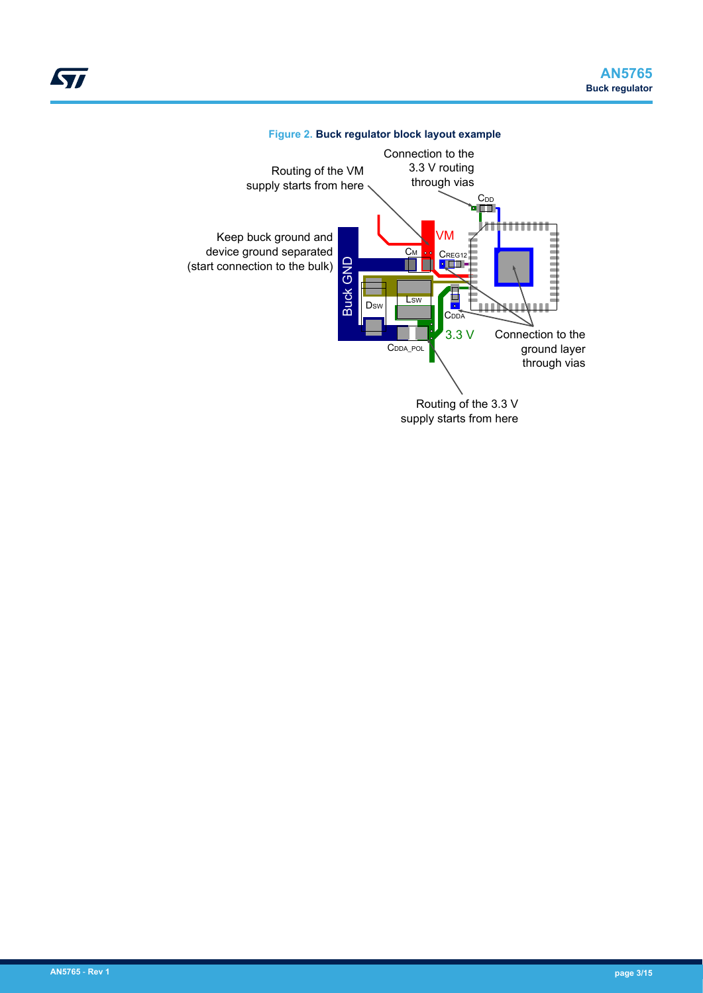<span id="page-2-0"></span>



## **Figure 2. Buck regulator block layout example**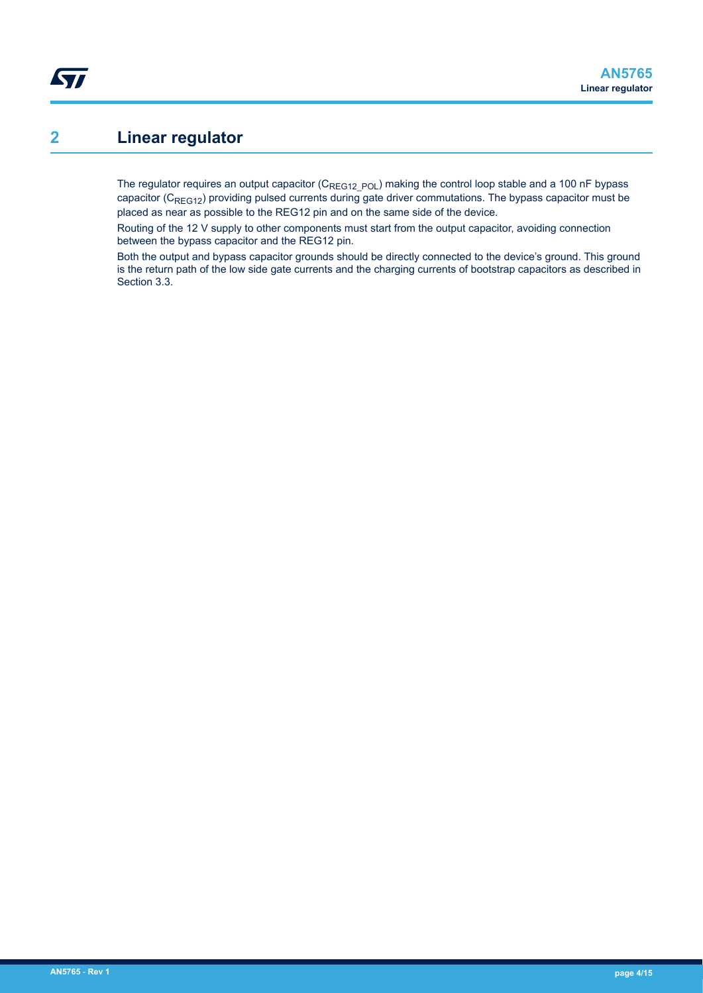# **2 Linear regulator**

<span id="page-3-0"></span>**ST** 

The regulator requires an output capacitor ( $C_{REG12\ POL}$ ) making the control loop stable and a 100 nF bypass capacitor (C<sub>REG12</sub>) providing pulsed currents during gate driver commutations. The bypass capacitor must be placed as near as possible to the REG12 pin and on the same side of the device.

Routing of the 12 V supply to other components must start from the output capacitor, avoiding connection between the bypass capacitor and the REG12 pin.

Both the output and bypass capacitor grounds should be directly connected to the device's ground. This ground is the return path of the low side gate currents and the charging currents of bootstrap capacitors as described in Section 3.3.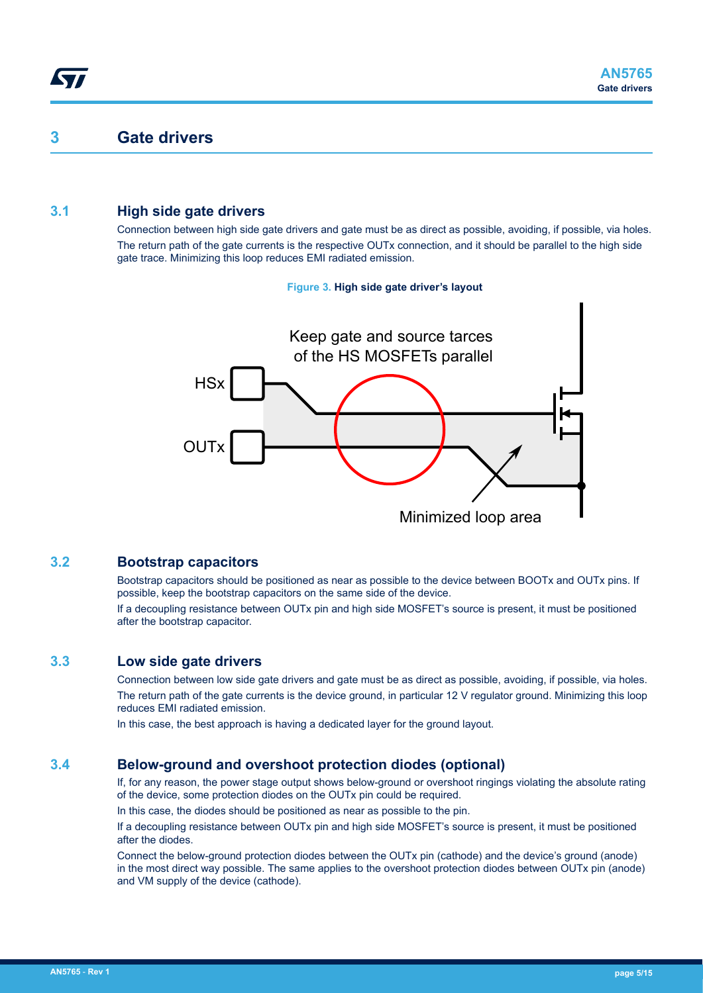## <span id="page-4-0"></span>**3 Gate drivers**

## **3.1 High side gate drivers**

Connection between high side gate drivers and gate must be as direct as possible, avoiding, if possible, via holes. The return path of the gate currents is the respective OUTx connection, and it should be parallel to the high side gate trace. Minimizing this loop reduces EMI radiated emission.

#### **Figure 3. High side gate driver's layout**



### **3.2 Bootstrap capacitors**

Bootstrap capacitors should be positioned as near as possible to the device between BOOTx and OUTx pins. If possible, keep the bootstrap capacitors on the same side of the device.

If a decoupling resistance between OUTx pin and high side MOSFET's source is present, it must be positioned after the bootstrap capacitor.

### **3.3 Low side gate drivers**

Connection between low side gate drivers and gate must be as direct as possible, avoiding, if possible, via holes. The return path of the gate currents is the device ground, in particular 12 V regulator ground. Minimizing this loop reduces EMI radiated emission.

In this case, the best approach is having a dedicated layer for the ground layout.

## **3.4 Below-ground and overshoot protection diodes (optional)**

If, for any reason, the power stage output shows below-ground or overshoot ringings violating the absolute rating of the device, some protection diodes on the OUTx pin could be required.

In this case, the diodes should be positioned as near as possible to the pin.

If a decoupling resistance between OUTx pin and high side MOSFET's source is present, it must be positioned after the diodes.

Connect the below-ground protection diodes between the OUTx pin (cathode) and the device's ground (anode) in the most direct way possible. The same applies to the overshoot protection diodes between OUTx pin (anode) and VM supply of the device (cathode).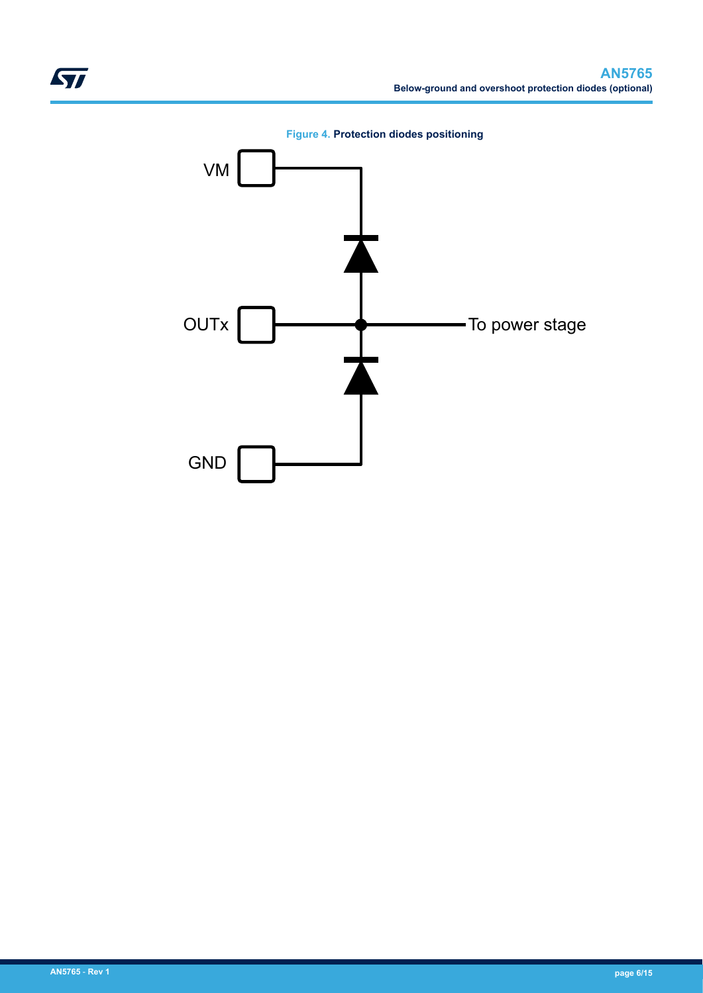<span id="page-5-0"></span>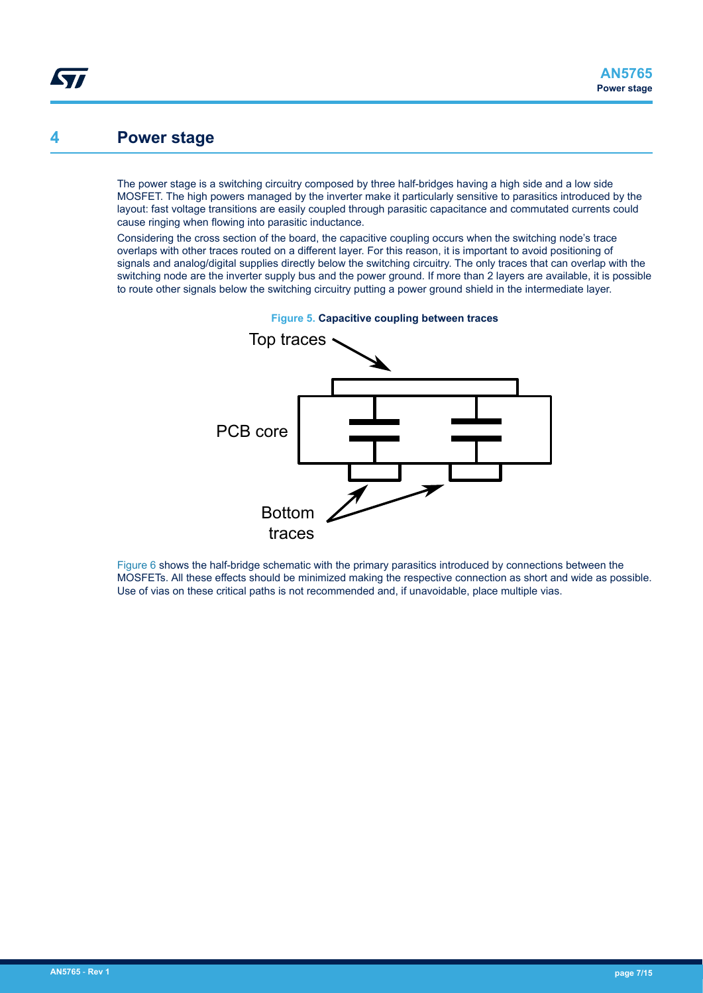## <span id="page-6-0"></span>**4 Power stage**

The power stage is a switching circuitry composed by three half-bridges having a high side and a low side MOSFET. The high powers managed by the inverter make it particularly sensitive to parasitics introduced by the layout: fast voltage transitions are easily coupled through parasitic capacitance and commutated currents could cause ringing when flowing into parasitic inductance.

Considering the cross section of the board, the capacitive coupling occurs when the switching node's trace overlaps with other traces routed on a different layer. For this reason, it is important to avoid positioning of signals and analog/digital supplies directly below the switching circuitry. The only traces that can overlap with the switching node are the inverter supply bus and the power ground. If more than 2 layers are available, it is possible to route other signals below the switching circuitry putting a power ground shield in the intermediate layer.



**Figure 5. Capacitive coupling between traces**

[Figure 6](#page-7-0) shows the half-bridge schematic with the primary parasitics introduced by connections between the MOSFETs. All these effects should be minimized making the respective connection as short and wide as possible. Use of vias on these critical paths is not recommended and, if unavoidable, place multiple vias.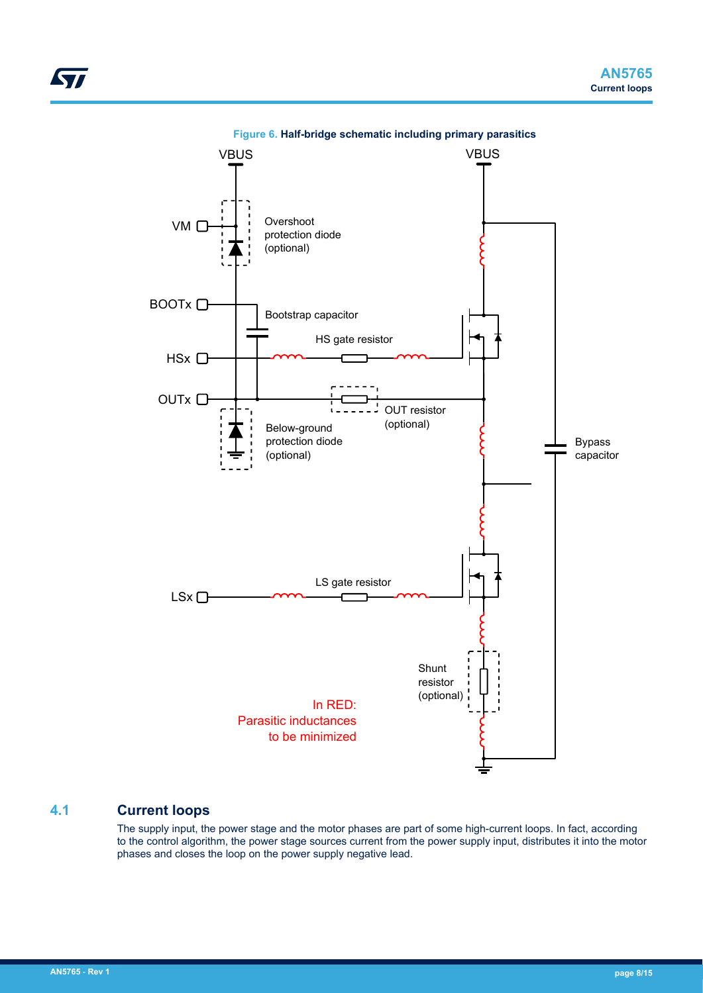<span id="page-7-0"></span>

#### **Figure 6. Half-bridge schematic including primary parasitics**

## **4.1 Current loops**

The supply input, the power stage and the motor phases are part of some high-current loops. In fact, according to the control algorithm, the power stage sources current from the power supply input, distributes it into the motor phases and closes the loop on the power supply negative lead.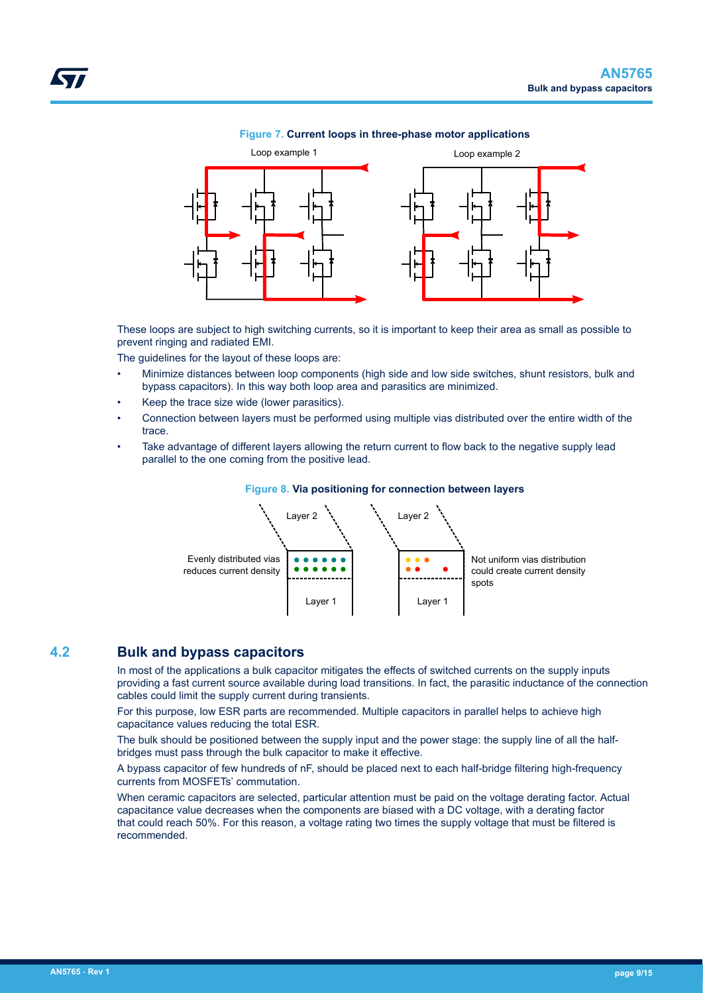<span id="page-8-0"></span>

#### **Figure 7. Current loops in three-phase motor applications**

These loops are subject to high switching currents, so it is important to keep their area as small as possible to prevent ringing and radiated EMI.

The guidelines for the layout of these loops are:

- Minimize distances between loop components (high side and low side switches, shunt resistors, bulk and bypass capacitors). In this way both loop area and parasitics are minimized.
- Keep the trace size wide (lower parasitics).
- Connection between layers must be performed using multiple vias distributed over the entire width of the trace.
- Take advantage of different layers allowing the return current to flow back to the negative supply lead parallel to the one coming from the positive lead.



#### **Figure 8. Via positioning for connection between layers**

### **4.2 Bulk and bypass capacitors**

In most of the applications a bulk capacitor mitigates the effects of switched currents on the supply inputs providing a fast current source available during load transitions. In fact, the parasitic inductance of the connection cables could limit the supply current during transients.

For this purpose, low ESR parts are recommended. Multiple capacitors in parallel helps to achieve high capacitance values reducing the total ESR.

The bulk should be positioned between the supply input and the power stage: the supply line of all the halfbridges must pass through the bulk capacitor to make it effective.

A bypass capacitor of few hundreds of nF, should be placed next to each half-bridge filtering high-frequency currents from MOSFETs' commutation.

When ceramic capacitors are selected, particular attention must be paid on the voltage derating factor. Actual capacitance value decreases when the components are biased with a DC voltage, with a derating factor that could reach 50%. For this reason, a voltage rating two times the supply voltage that must be filtered is recommended.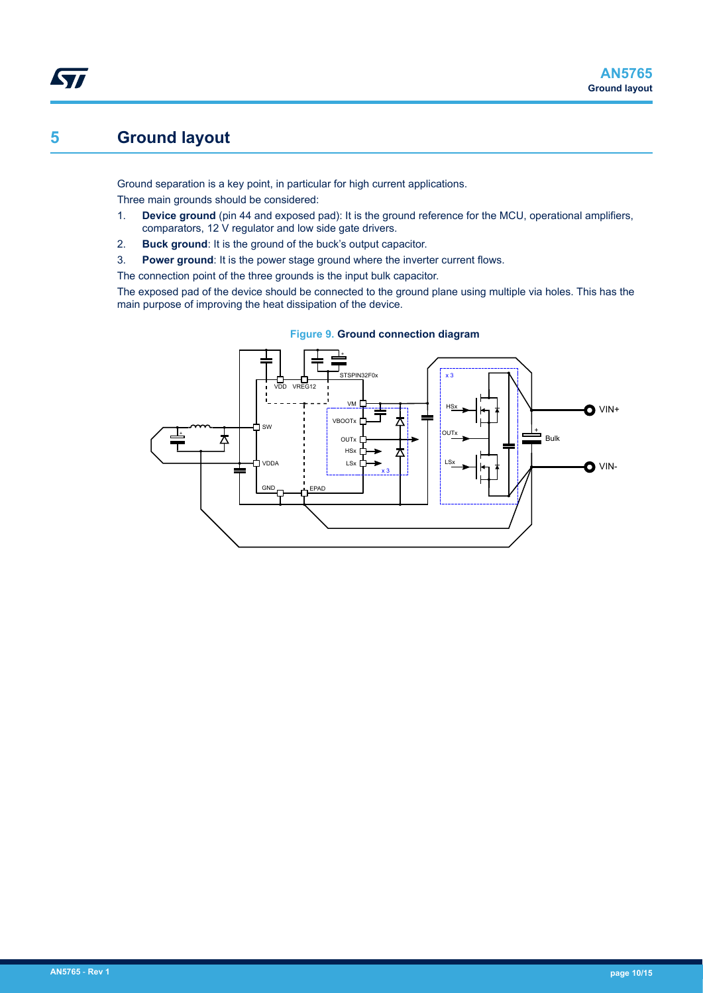# <span id="page-9-0"></span>**5 Ground layout**

Ground separation is a key point, in particular for high current applications. Three main grounds should be considered:

- 1. **Device ground** (pin 44 and exposed pad): It is the ground reference for the MCU, operational amplifiers, comparators, 12 V regulator and low side gate drivers.
- 2. **Buck ground**: It is the ground of the buck's output capacitor.
- 3. **Power ground**: It is the power stage ground where the inverter current flows.

The connection point of the three grounds is the input bulk capacitor.

The exposed pad of the device should be connected to the ground plane using multiple via holes. This has the main purpose of improving the heat dissipation of the device.



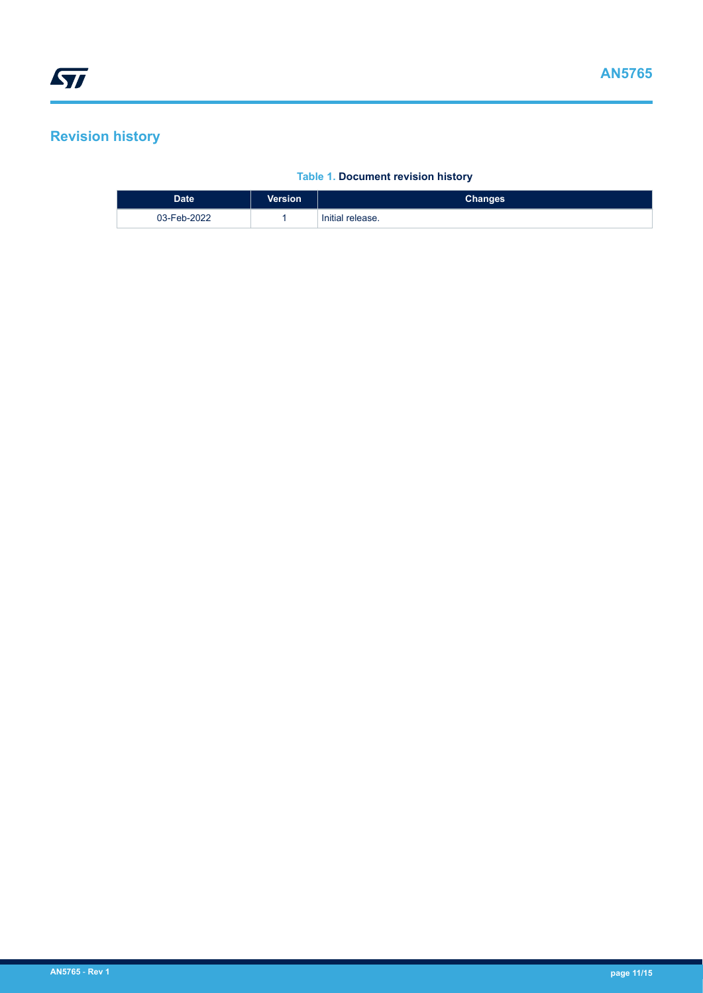# <span id="page-10-0"></span>**Revision history**

### **Table 1. Document revision history**

| <b>Date</b> | <b>Version</b> | <b>Changes</b>   |
|-------------|----------------|------------------|
| 03-Feb-2022 |                | Initial release. |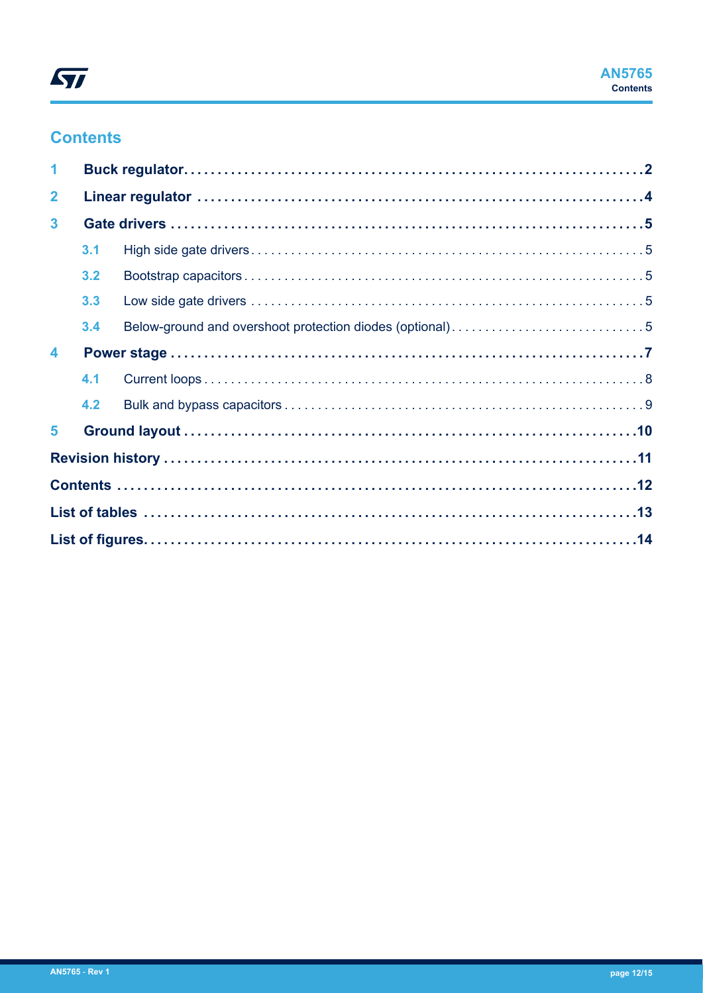# **Contents**

| $\blacktriangleleft$ |     |                                                          |  |
|----------------------|-----|----------------------------------------------------------|--|
| $\overline{2}$       |     |                                                          |  |
| $\mathbf{3}$         |     |                                                          |  |
|                      | 3.1 |                                                          |  |
|                      | 3.2 |                                                          |  |
|                      | 3.3 |                                                          |  |
|                      | 3.4 | Below-ground and overshoot protection diodes (optional)5 |  |
| $\blacktriangle$     |     |                                                          |  |
|                      | 4.1 |                                                          |  |
|                      | 4.2 |                                                          |  |
| $5\phantom{.0}$      |     |                                                          |  |
|                      |     |                                                          |  |
|                      |     |                                                          |  |
|                      |     |                                                          |  |
|                      |     |                                                          |  |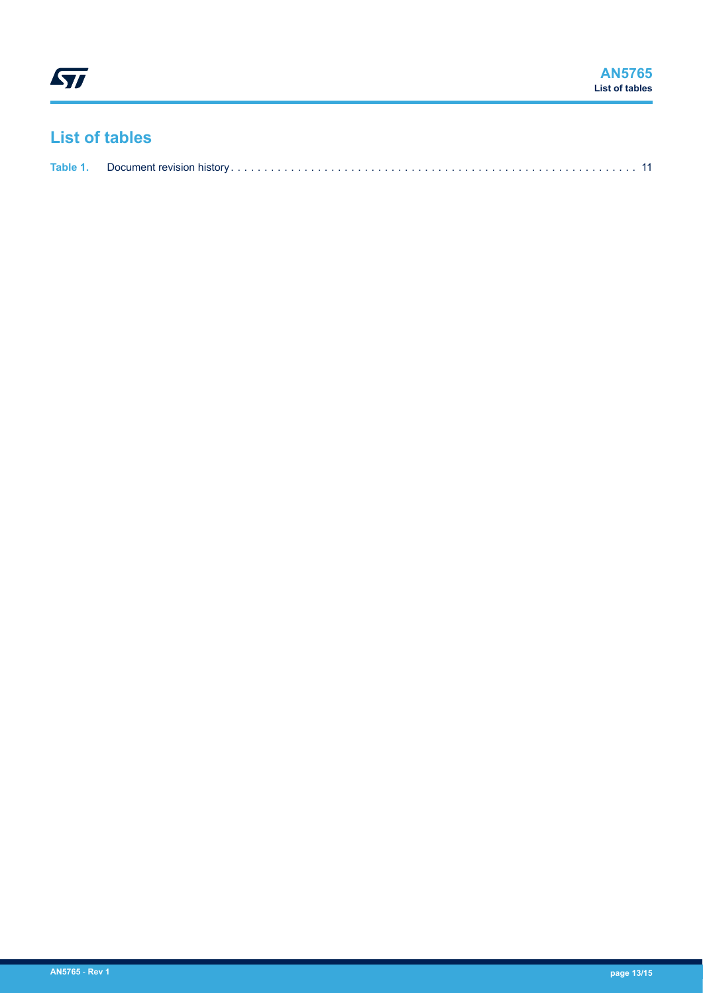# <span id="page-12-0"></span>**List of tables**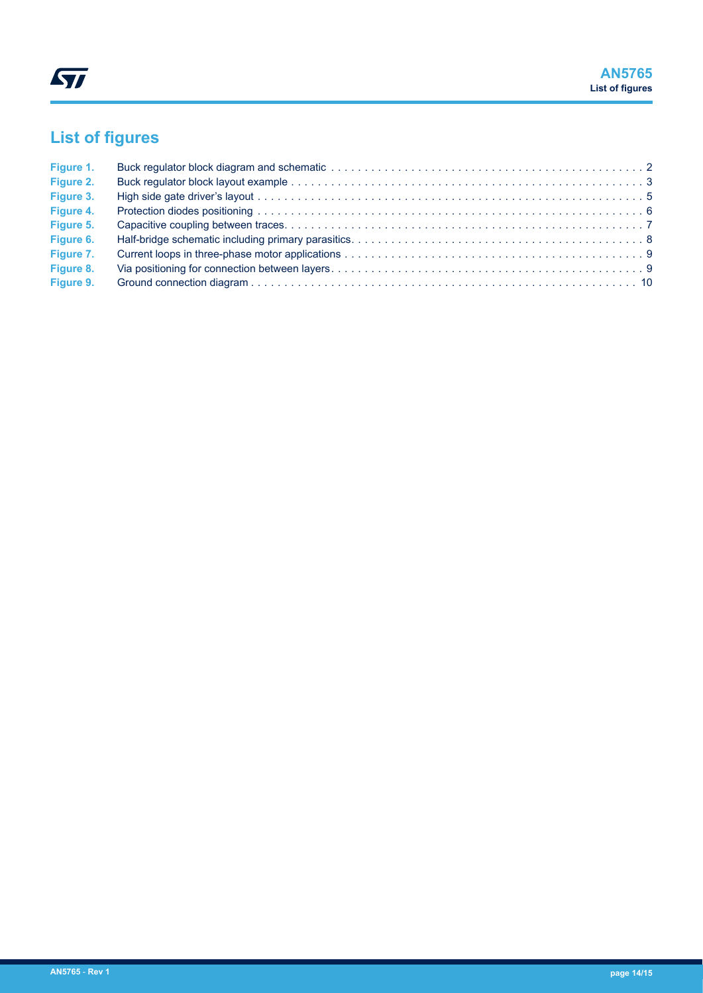# <span id="page-13-0"></span>**List of figures**

| Figure 1. |  |
|-----------|--|
| Figure 2. |  |
| Figure 3. |  |
| Figure 4. |  |
| Figure 5. |  |
| Figure 6. |  |
| Figure 7. |  |
| Figure 8. |  |
| Figure 9. |  |